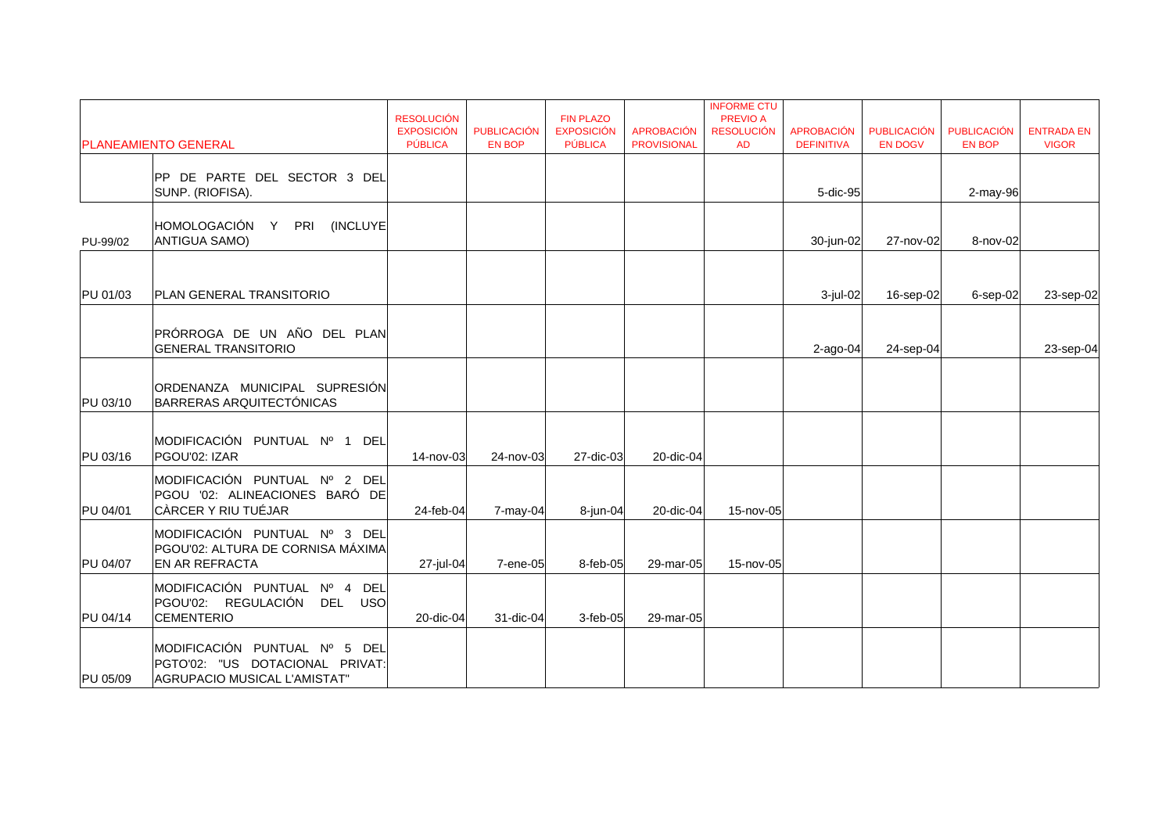|          | <b>PLANEAMIENTO GENERAL</b>                                                                      | <b>RESOLUCIÓN</b><br><b>EXPOSICIÓN</b><br><b>PÚBLICA</b> | <b>PUBLICACIÓN</b><br><b>EN BOP</b> | <b>FIN PLAZO</b><br><b>EXPOSICIÓN</b><br>PÚBLICA | <b>APROBACIÓN</b><br><b>PROVISIONAL</b> | <b>INFORME CTU</b><br><b>PREVIO A</b><br><b>RESOLUCIÓN</b><br><b>AD</b> | <b>APROBACIÓN</b><br><b>DEFINITIVA</b> | <b>PUBLICACIÓN</b><br><b>EN DOGV</b> | <b>PUBLICACIÓN</b><br><b>EN BOP</b> | <b>ENTRADA EN</b><br><b>VIGOR</b> |
|----------|--------------------------------------------------------------------------------------------------|----------------------------------------------------------|-------------------------------------|--------------------------------------------------|-----------------------------------------|-------------------------------------------------------------------------|----------------------------------------|--------------------------------------|-------------------------------------|-----------------------------------|
|          | PP DE PARTE DEL SECTOR 3 DEL                                                                     |                                                          |                                     |                                                  |                                         |                                                                         |                                        |                                      |                                     |                                   |
|          | SUNP. (RIOFISA).                                                                                 |                                                          |                                     |                                                  |                                         |                                                                         | 5-dic-95                               |                                      | $2$ -may-96                         |                                   |
| PU-99/02 | HOMOLOGACIÓN Y PRI (INCLUYE<br><b>ANTIGUA SAMO)</b>                                              |                                                          |                                     |                                                  |                                         |                                                                         | 30-jun-02                              | 27-nov-02                            | 8-nov-02                            |                                   |
| PU 01/03 | <b>PLAN GENERAL TRANSITORIO</b>                                                                  |                                                          |                                     |                                                  |                                         |                                                                         | 3-jul-02                               | 16-sep-02                            | $6$ -sep-02                         | 23-sep-02                         |
|          | PRÓRROGA DE UN AÑO DEL PLAN<br><b>GENERAL TRANSITORIO</b>                                        |                                                          |                                     |                                                  |                                         |                                                                         | $2$ -ago-04                            | $24$ -sep-04                         |                                     | 23-sep-04                         |
| PU 03/10 | ORDENANZA MUNICIPAL SUPRESIÓN<br><b>BARRERAS ARQUITECTÓNICAS</b>                                 |                                                          |                                     |                                                  |                                         |                                                                         |                                        |                                      |                                     |                                   |
| PU 03/16 | MODIFICACIÓN PUNTUAL Nº 1 DEL<br>PGOU'02: IZAR                                                   | 14-nov-03                                                | 24-nov-03                           | 27-dic-03                                        | 20-dic-04                               |                                                                         |                                        |                                      |                                     |                                   |
| PU 04/01 | MODIFICACIÓN PUNTUAL Nº 2 DEL<br>PGOU '02: ALINEACIONES BARÓ DE<br>CÀRCER Y RIU TUÉJAR           | 24-feb-04                                                | $7$ -may-04                         | 8-jun-04                                         | 20-dic-04                               | 15-nov-05                                                               |                                        |                                      |                                     |                                   |
| PU 04/07 | MODIFICACIÓN PUNTUAL Nº 3 DEL<br>PGOU'02: ALTURA DE CORNISA MÁXIMA<br><b>EN AR REFRACTA</b>      | 27-jul-04                                                | 7-ene-05                            | 8-feb-05                                         | 29-mar-05                               | 15-nov-05                                                               |                                        |                                      |                                     |                                   |
| PU 04/14 | MODIFICACIÓN PUNTUAL Nº 4<br>DEL<br>PGOU'02: REGULACIÓN DEL USO<br><b>CEMENTERIO</b>             | 20-dic-04                                                | 31-dic-04                           | $3$ -feb-05                                      | 29-mar-05                               |                                                                         |                                        |                                      |                                     |                                   |
| PU 05/09 | MODIFICACIÓN PUNTUAL Nº 5 DEL<br>PGTO'02: "US DOTACIONAL PRIVAT:<br>AGRUPACIO MUSICAL L'AMISTAT" |                                                          |                                     |                                                  |                                         |                                                                         |                                        |                                      |                                     |                                   |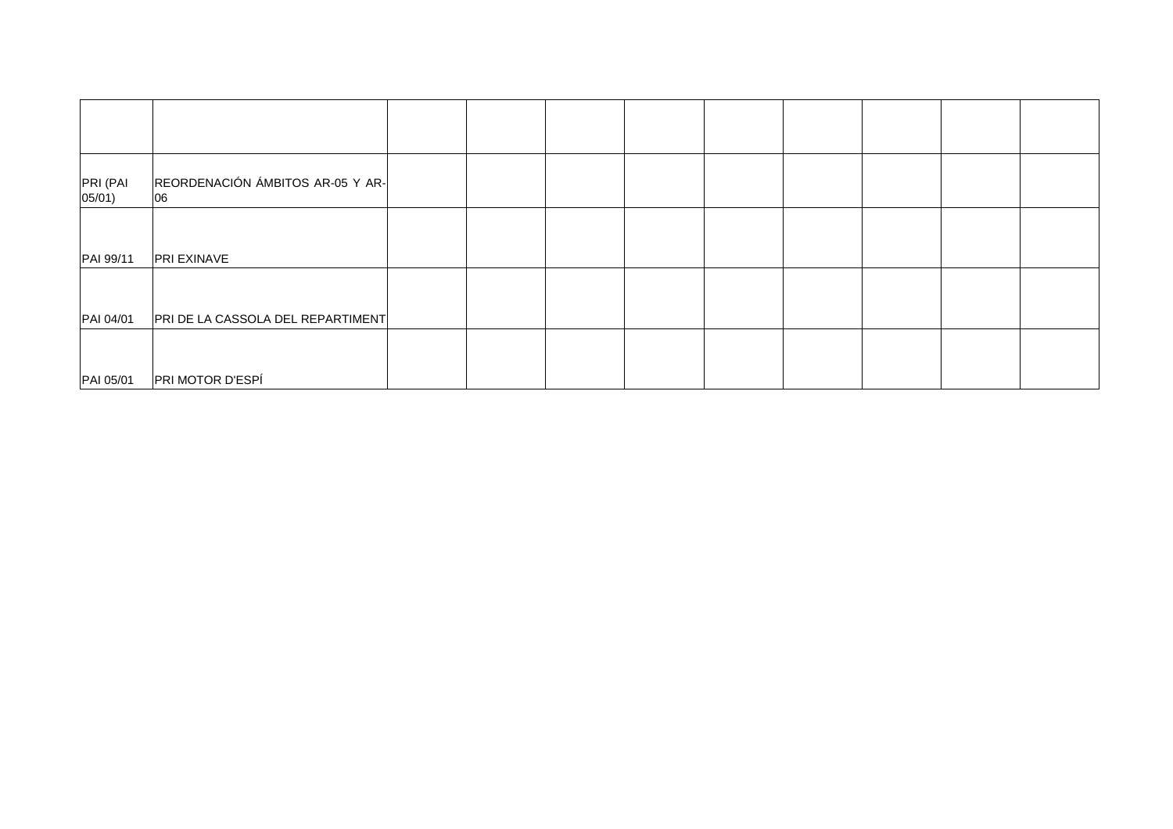| PRI (PAI<br>05/01) | REORDENACIÓN ÁMBITOS AR-05 Y AR-<br>06 |  |  |  |
|--------------------|----------------------------------------|--|--|--|
| PAI 99/11          | <b>PRI EXINAVE</b>                     |  |  |  |
| PAI 04/01          | PRI DE LA CASSOLA DEL REPARTIMENT      |  |  |  |
| PAI 05/01          | PRI MOTOR D'ESPÍ                       |  |  |  |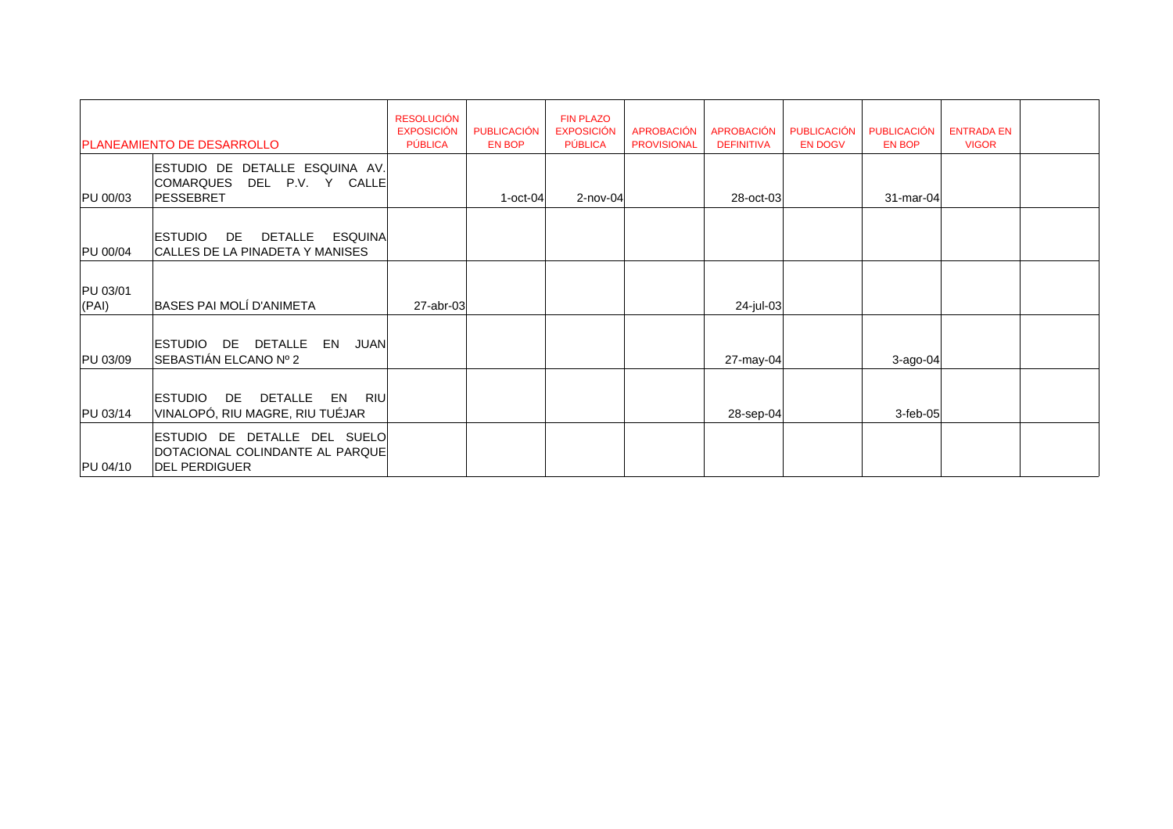|                   | <b>PLANEAMIENTO DE DESARROLLO</b>                                                       | <b>RESOLUCIÓN</b><br><b>EXPOSICIÓN</b><br><b>PÚBLICA</b> | PUBLICACIÓN<br><b>EN BOP</b> | <b>FIN PLAZO</b><br><b>EXPOSICIÓN</b><br><b>PÚBLICA</b> | <b>APROBACIÓN</b><br><b>PROVISIONAL</b> | <b>APROBACIÓN</b><br><b>DEFINITIVA</b> | <b>PUBLICACIÓN</b><br><b>EN DOGV</b> | PUBLICACIÓN<br><b>EN BOP</b> | <b>ENTRADA EN</b><br><b>VIGOR</b> |  |
|-------------------|-----------------------------------------------------------------------------------------|----------------------------------------------------------|------------------------------|---------------------------------------------------------|-----------------------------------------|----------------------------------------|--------------------------------------|------------------------------|-----------------------------------|--|
| PU 00/03          | ESTUDIO DE DETALLE ESQUINA AV.<br><b>COMARQUES</b><br>DEL<br>P.V. Y CALLE<br>PESSEBRET  |                                                          | $1$ -oct-04                  | $2$ -nov-04                                             |                                         | 28-oct-03                              |                                      | 31-mar-04                    |                                   |  |
| PU 00/04          | <b>ESQUINA</b><br><b>ESTUDIO</b><br>DETALLE<br>DE<br>CALLES DE LA PINADETA Y MANISES    |                                                          |                              |                                                         |                                         |                                        |                                      |                              |                                   |  |
| PU 03/01<br>(PAI) | BASES PAI MOLÍ D'ANIMETA                                                                | $27$ -abr-03                                             |                              |                                                         |                                         | 24-jul-03                              |                                      |                              |                                   |  |
| PU 03/09          | DE DETALLE<br>ESTUDIO<br>EN JUAN<br>SEBASTIÁN ELCANO Nº 2                               |                                                          |                              |                                                         |                                         | 27-may-04                              |                                      | $3$ -ago-04                  |                                   |  |
| PU 03/14          | DE<br>DETALLE EN RIU<br><b>ESTUDIO</b><br>VINALOPÓ, RIU MAGRE, RIU TUÉJAR               |                                                          |                              |                                                         |                                         | 28-sep-04                              |                                      | $3$ -feb-05                  |                                   |  |
| PU 04/10          | ESTUDIO DE DETALLE DEL SUELO<br>DOTACIONAL COLINDANTE AL PARQUE<br><b>DEL PERDIGUER</b> |                                                          |                              |                                                         |                                         |                                        |                                      |                              |                                   |  |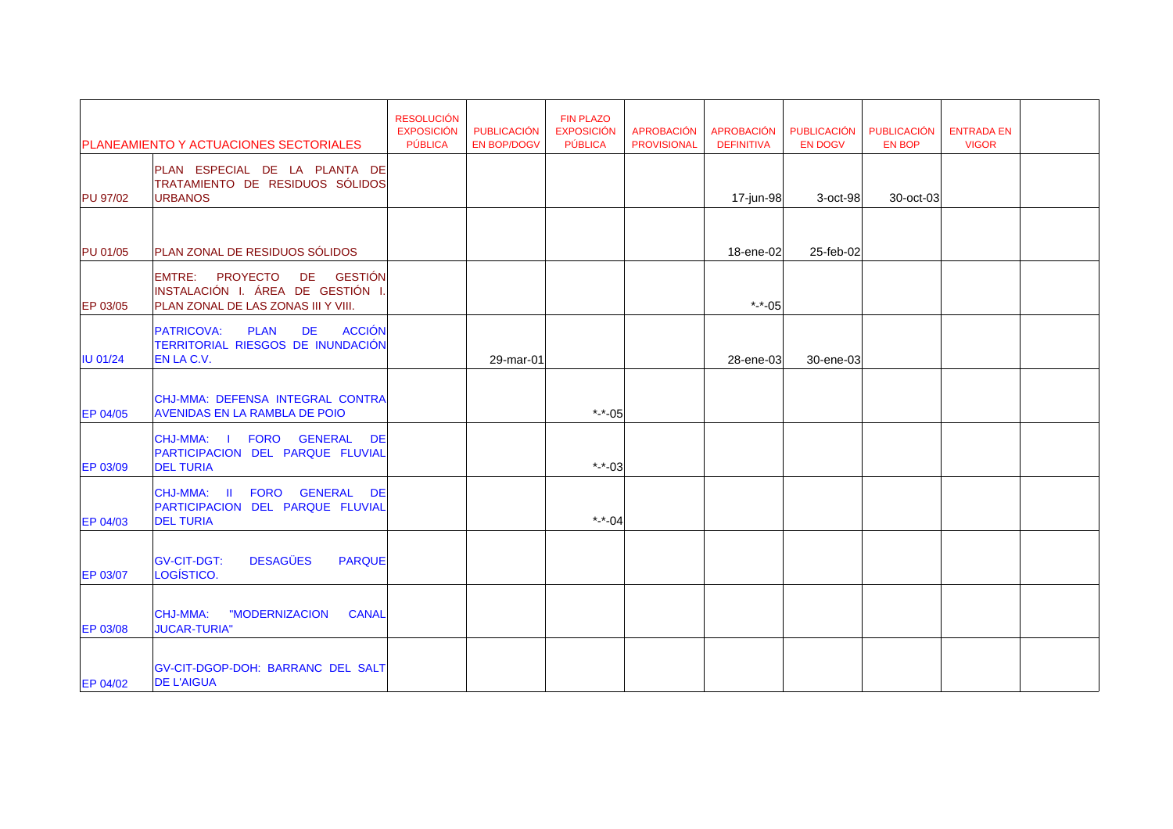|                 | <b>PLANEAMIENTO Y ACTUACIONES SECTORIALES</b>                                                                     | <b>RESOLUCIÓN</b><br><b>EXPOSICIÓN</b><br>PÚBLICA | PUBLICACIÓN<br><b>EN BOP/DOGV</b> | <b>FIN PLAZO</b><br><b>EXPOSICIÓN</b><br><b>PÚBLICA</b> | <b>APROBACIÓN</b><br><b>PROVISIONAL</b> | <b>APROBACIÓN</b><br><b>DEFINITIVA</b> | <b>PUBLICACIÓN</b><br><b>EN DOGV</b> | PUBLICACIÓN<br><b>EN BOP</b> | <b>ENTRADA EN</b><br><b>VIGOR</b> |
|-----------------|-------------------------------------------------------------------------------------------------------------------|---------------------------------------------------|-----------------------------------|---------------------------------------------------------|-----------------------------------------|----------------------------------------|--------------------------------------|------------------------------|-----------------------------------|
| <b>PU 97/02</b> | PLAN ESPECIAL DE LA PLANTA DE<br>TRATAMIENTO DE RESIDUOS SÓLIDOS<br><b>URBANOS</b>                                |                                                   |                                   |                                                         |                                         | 17-jun-98                              | 3-oct-98                             | 30-oct-03                    |                                   |
|                 |                                                                                                                   |                                                   |                                   |                                                         |                                         |                                        |                                      |                              |                                   |
| PU 01/05        | PLAN ZONAL DE RESIDUOS SÓLIDOS                                                                                    |                                                   |                                   |                                                         |                                         | 18-ene-02                              | 25-feb-02                            |                              |                                   |
| EP 03/05        | EMTRE: PROYECTO DE GESTIÓN<br>INSTALACIÓN I. ÁREA DE GESTIÓN I.<br>PLAN ZONAL DE LAS ZONAS III Y VIII.            |                                                   |                                   |                                                         |                                         | $* - 05$                               |                                      |                              |                                   |
| <b>IU 01/24</b> | <b>ACCIÓN</b><br><b>PLAN</b><br><b>PATRICOVA:</b><br><b>DE</b><br>TERRITORIAL RIESGOS DE INUNDACIÓN<br>EN LA C.V. |                                                   | 29-mar-01                         |                                                         |                                         | 28-ene-03                              | 30-ene-03                            |                              |                                   |
| EP 04/05        | CHJ-MMA: DEFENSA INTEGRAL CONTRA<br><b>AVENIDAS EN LA RAMBLA DE POIO</b>                                          |                                                   |                                   | *-*-05                                                  |                                         |                                        |                                      |                              |                                   |
| EP 03/09        | CHJ-MMA: I FORO GENERAL<br>DE<br>PARTICIPACION DEL PARQUE FLUVIAL<br><b>DEL TURIA</b>                             |                                                   |                                   | *- $-$ -03                                              |                                         |                                        |                                      |                              |                                   |
| <b>EP 04/03</b> | CHJ-MMA: II<br>FORO GENERAL DE<br>PARTICIPACION DEL PARQUE FLUVIAL<br><b>DEL TURIA</b>                            |                                                   |                                   | *-*-04                                                  |                                         |                                        |                                      |                              |                                   |
| <b>EP 03/07</b> | <b>DESAGÜES</b><br><b>GV-CIT-DGT:</b><br><b>PARQUE</b><br>LOGÍSTICO.                                              |                                                   |                                   |                                                         |                                         |                                        |                                      |                              |                                   |
| <b>EP 03/08</b> | <b>CHJ-MMA:</b><br>"MODERNIZACION<br><b>CANAL</b><br><b>JUCAR-TURIA"</b>                                          |                                                   |                                   |                                                         |                                         |                                        |                                      |                              |                                   |
| <b>EP 04/02</b> | <b>GV-CIT-DGOP-DOH: BARRANC DEL SALT</b><br><b>DE L'AIGUA</b>                                                     |                                                   |                                   |                                                         |                                         |                                        |                                      |                              |                                   |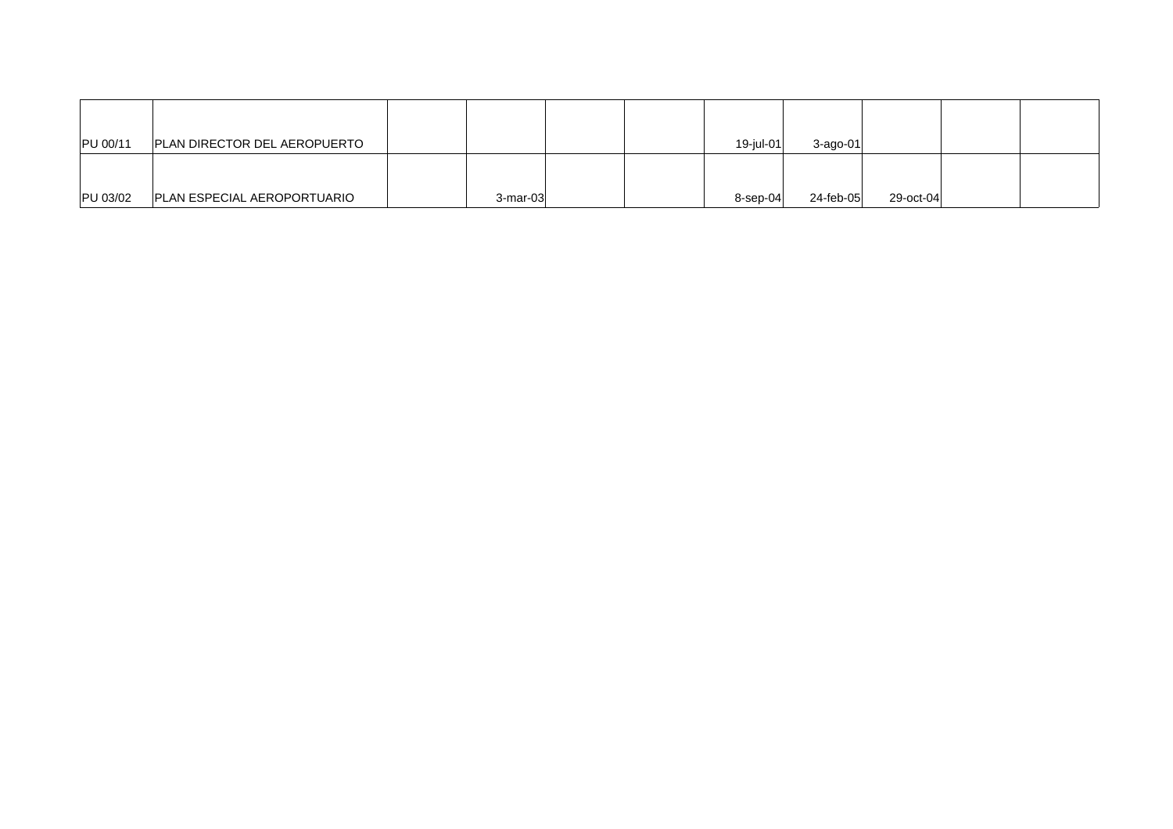| PU 00/11 | <b>PLAN DIRECTOR DEL AEROPUERTO</b> |             |  | 19-iul-01 | 3-ago-01  |           |  |
|----------|-------------------------------------|-------------|--|-----------|-----------|-----------|--|
|          |                                     |             |  |           |           |           |  |
|          |                                     |             |  |           |           |           |  |
| PU 03/02 | <b>PLAN ESPECIAL AEROPORTUARIO</b>  | $3$ -mar-03 |  | 8-sep-04  | 24-feb-05 | 29-oct-04 |  |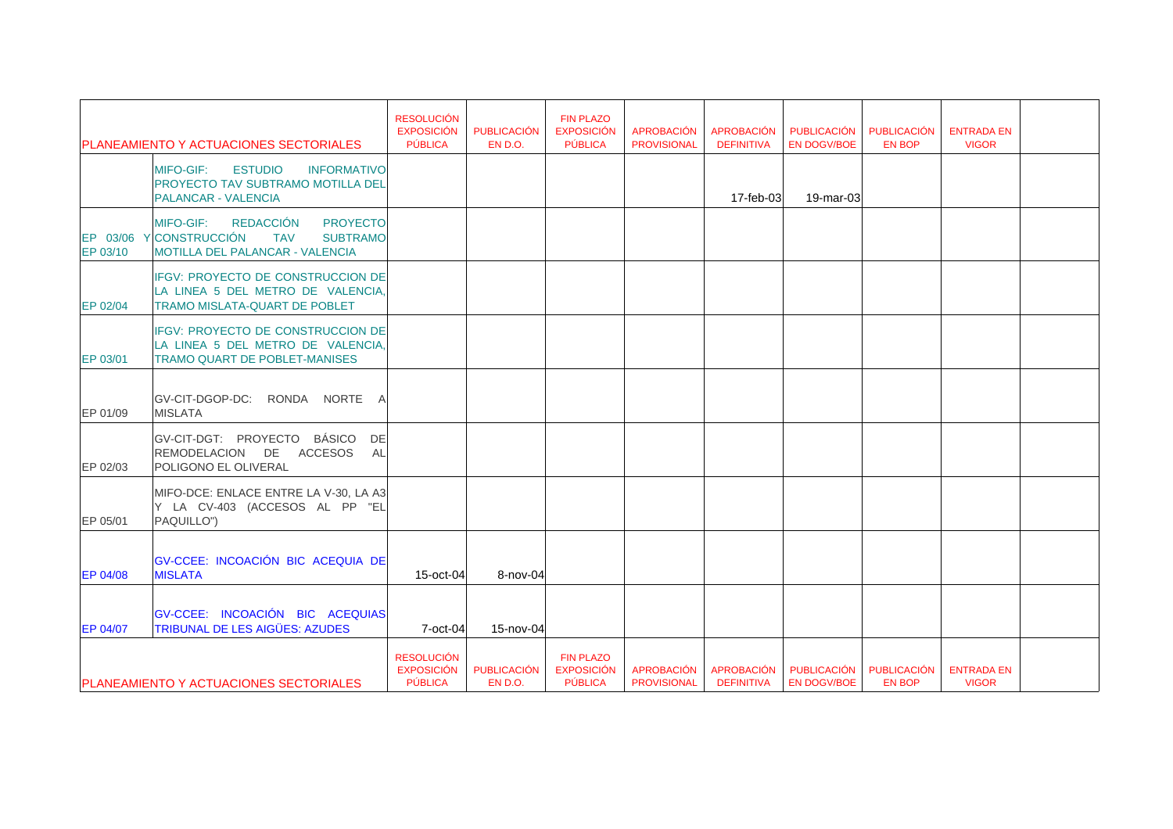|                      | <b>PLANEAMIENTO Y ACTUACIONES SECTORIALES</b>                                                                                                        | <b>RESOLUCIÓN</b><br><b>EXPOSICIÓN</b><br>PÚBLICA | <b>PUBLICACIÓN</b><br>EN D.O. | <b>FIN PLAZO</b><br><b>EXPOSICIÓN</b><br><b>PÚBLICA</b> | <b>APROBACIÓN</b><br><b>PROVISIONAL</b> | <b>APROBACIÓN</b><br><b>DEFINITIVA</b> | <b>PUBLICACIÓN</b><br><b>EN DOGV/BOE</b> | <b>PUBLICACIÓN</b><br><b>EN BOP</b> | <b>ENTRADA EN</b><br><b>VIGOR</b> |  |
|----------------------|------------------------------------------------------------------------------------------------------------------------------------------------------|---------------------------------------------------|-------------------------------|---------------------------------------------------------|-----------------------------------------|----------------------------------------|------------------------------------------|-------------------------------------|-----------------------------------|--|
|                      | <b>MIFO-GIF:</b><br><b>ESTUDIO</b><br><b>INFORMATIVO</b><br><b>PROYECTO TAV SUBTRAMO MOTILLA DEL</b><br><b>PALANCAR - VALENCIA</b>                   |                                                   |                               |                                                         |                                         | 17-feb-03                              | 19-mar-03                                |                                     |                                   |  |
| EP 03/06<br>EP 03/10 | REDACCIÓN<br><b>PROYECTO</b><br><b>MIFO-GIF:</b><br><b>Y</b> CONSTRUCCIÓN<br><b>TAV</b><br><b>SUBTRAMO</b><br><b>MOTILLA DEL PALANCAR - VALENCIA</b> |                                                   |                               |                                                         |                                         |                                        |                                          |                                     |                                   |  |
| EP 02/04             | <b>IFGV: PROYECTO DE CONSTRUCCION DE</b><br>LA LINEA 5 DEL METRO DE VALENCIA,<br><b>TRAMO MISLATA-QUART DE POBLET</b>                                |                                                   |                               |                                                         |                                         |                                        |                                          |                                     |                                   |  |
| EP 03/01             | IFGV: PROYECTO DE CONSTRUCCION DE<br>LA LINEA 5 DEL METRO DE VALENCIA,<br><b>TRAMO QUART DE POBLET-MANISES</b>                                       |                                                   |                               |                                                         |                                         |                                        |                                          |                                     |                                   |  |
| EP 01/09             | GV-CIT-DGOP-DC: RONDA NORTE A<br><b>MISLATA</b>                                                                                                      |                                                   |                               |                                                         |                                         |                                        |                                          |                                     |                                   |  |
| EP 02/03             | GV-CIT-DGT: PROYECTO BÁSICO DE<br>REMODELACION DE ACCESOS AL<br>POLIGONO EL OLIVERAL                                                                 |                                                   |                               |                                                         |                                         |                                        |                                          |                                     |                                   |  |
| EP 05/01             | MIFO-DCE: ENLACE ENTRE LA V-30, LA A3<br>Y LA CV-403 (ACCESOS AL PP "EL<br>PAQUILLO")                                                                |                                                   |                               |                                                         |                                         |                                        |                                          |                                     |                                   |  |
| <b>EP 04/08</b>      | GV-CCEE: INCOACIÓN BIC ACEQUIA DE<br><b>MISLATA</b>                                                                                                  | 15-oct-04                                         | 8-nov-04                      |                                                         |                                         |                                        |                                          |                                     |                                   |  |
| EP 04/07             | GV-CCEE: INCOACIÓN BIC ACEQUIAS<br><b>TRIBUNAL DE LES AIGÜES: AZUDES</b>                                                                             | 7-oct-04                                          | 15-nov-04                     |                                                         |                                         |                                        |                                          |                                     |                                   |  |
|                      | PLANEAMIENTO Y ACTUACIONES SECTORIALES                                                                                                               | <b>RESOLUCIÓN</b><br><b>EXPOSICIÓN</b><br>PÚBLICA | <b>PUBLICACIÓN</b><br>EN D.O. | <b>FIN PLAZO</b><br><b>EXPOSICIÓN</b><br><b>PÚBLICA</b> | <b>APROBACIÓN</b><br><b>PROVISIONAL</b> | <b>APROBACIÓN</b><br><b>DEFINITIVA</b> | PUBLICACIÓN<br><b>EN DOGV/BOE</b>        | <b>PUBLICACIÓN</b><br><b>EN BOP</b> | <b>ENTRADA EN</b><br><b>VIGOR</b> |  |